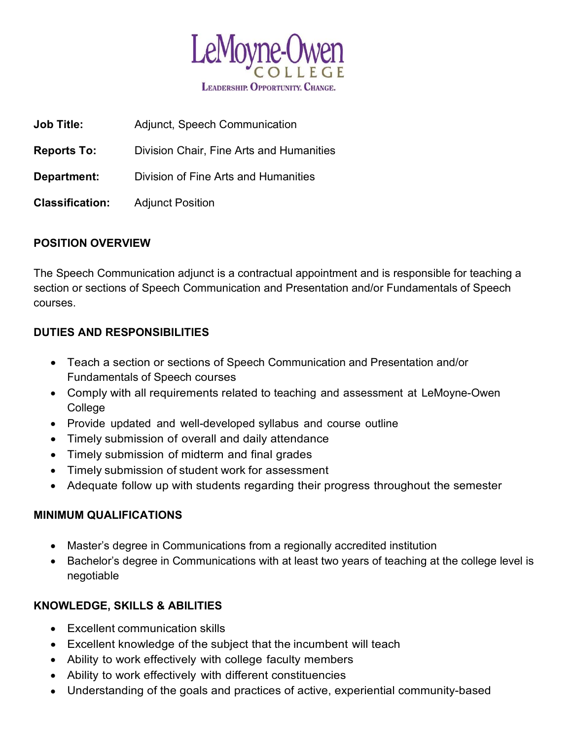

| <b>Job Title:</b>      | Adjunct, Speech Communication            |
|------------------------|------------------------------------------|
| <b>Reports To:</b>     | Division Chair, Fine Arts and Humanities |
| Department:            | Division of Fine Arts and Humanities     |
| <b>Classification:</b> | <b>Adjunct Position</b>                  |

## POSITION OVERVIEW

The Speech Communication adjunct is a contractual appointment and is responsible for teaching a section or sections of Speech Communication and Presentation and/or Fundamentals of Speech courses.

#### DUTIES AND RESPONSIBILITIES

- Teach a section or sections of Speech Communication and Presentation and/or Fundamentals of Speech courses
- Comply with all requirements related to teaching and assessment at LeMoyne-Owen College
- Provide updated and well-developed syllabus and course outline
- Timely submission of overall and daily attendance
- Timely submission of midterm and final grades
- Timely submission of student work for assessment
- Adequate follow up with students regarding their progress throughout the semester

#### MINIMUM QUALIFICATIONS

- Master's degree in Communications from a regionally accredited institution
- Bachelor's degree in Communications with at least two years of teaching at the college level is negotiable

## KNOWLEDGE, SKILLS & ABILITIES

- Excellent communication skills
- Excellent knowledge of the subject that the incumbent will teach
- Ability to work effectively with college faculty members
- Ability to work effectively with different constituencies
- Understanding of the goals and practices of active, experiential community-based